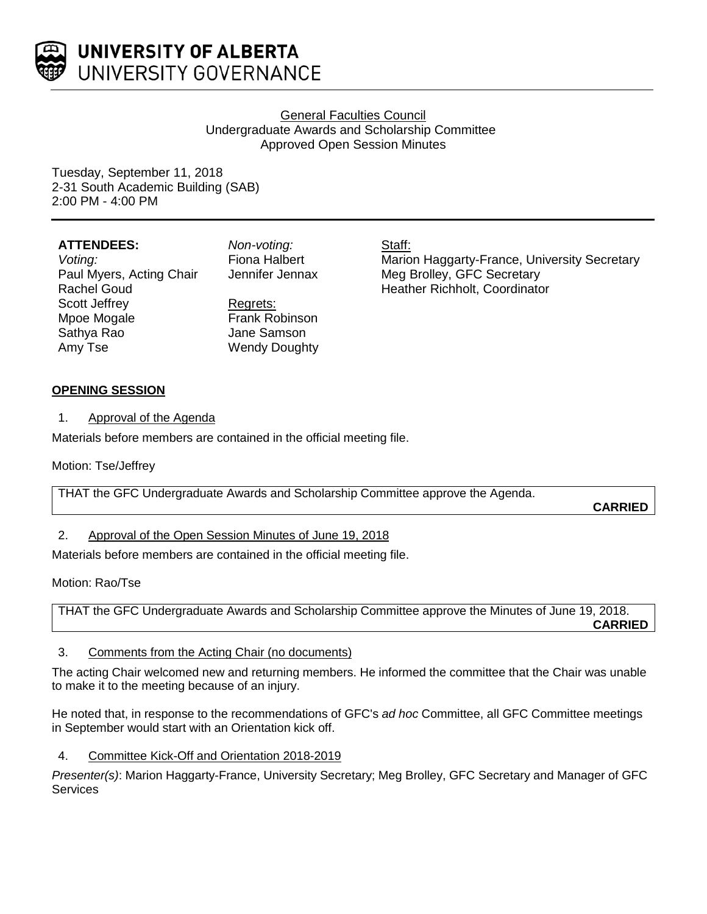

### General Faculties Council Undergraduate Awards and Scholarship Committee Approved Open Session Minutes

Tuesday, September 11, 2018 2-31 South Academic Building (SAB) 2:00 PM - 4:00 PM

| <b>ATTENDEES:</b>        |  |
|--------------------------|--|
| Voting:                  |  |
| Paul Myers, Acting Chair |  |
| <b>Rachel Goud</b>       |  |
| Scott Jeffrey            |  |
| Mpoe Mogale              |  |
| Sathya Rao               |  |
| Amy Tse                  |  |

*Non-voting:* Fiona Halbert Jennifer Jennax

Regrets: Frank Robinson Jane Samson Wendy Doughty

Staff:

Marion Haggarty-France, University Secretary Meg Brolley, GFC Secretary Heather Richholt, Coordinator

# **OPENING SESSION**

1. Approval of the Agenda

Materials before members are contained in the official meeting file.

Motion: Tse/Jeffrey

THAT the GFC Undergraduate Awards and Scholarship Committee approve the Agenda.

**CARRIED**

### 2. Approval of the Open Session Minutes of June 19, 2018

Materials before members are contained in the official meeting file.

Motion: Rao/Tse

THAT the GFC Undergraduate Awards and Scholarship Committee approve the Minutes of June 19, 2018. **CARRIED**

## 3. Comments from the Acting Chair (no documents)

The acting Chair welcomed new and returning members. He informed the committee that the Chair was unable to make it to the meeting because of an injury.

He noted that, in response to the recommendations of GFC's *ad hoc* Committee, all GFC Committee meetings in September would start with an Orientation kick off.

4. Committee Kick-Off and Orientation 2018-2019

*Presenter(s)*: Marion Haggarty-France, University Secretary; Meg Brolley, GFC Secretary and Manager of GFC **Services**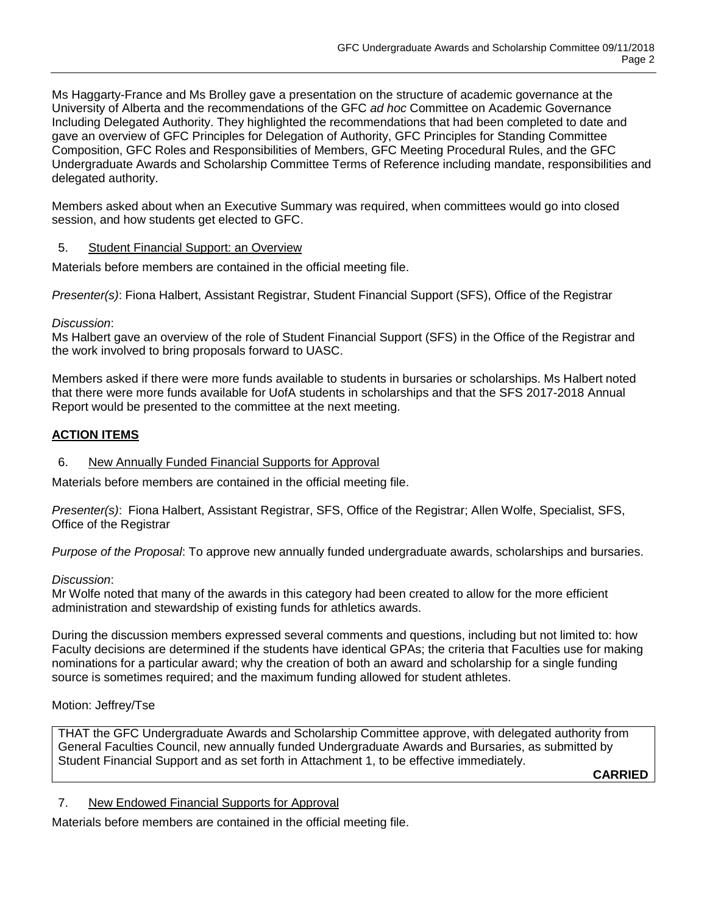Ms Haggarty-France and Ms Brolley gave a presentation on the structure of academic governance at the University of Alberta and the recommendations of the GFC *ad hoc* Committee on Academic Governance Including Delegated Authority. They highlighted the recommendations that had been completed to date and gave an overview of GFC Principles for Delegation of Authority, GFC Principles for Standing Committee Composition, GFC Roles and Responsibilities of Members, GFC Meeting Procedural Rules, and the GFC Undergraduate Awards and Scholarship Committee Terms of Reference including mandate, responsibilities and delegated authority.

Members asked about when an Executive Summary was required, when committees would go into closed session, and how students get elected to GFC.

### 5. Student Financial Support: an Overview

Materials before members are contained in the official meeting file.

*Presenter(s)*: Fiona Halbert, Assistant Registrar, Student Financial Support (SFS), Office of the Registrar

### *Discussion*:

Ms Halbert gave an overview of the role of Student Financial Support (SFS) in the Office of the Registrar and the work involved to bring proposals forward to UASC.

Members asked if there were more funds available to students in bursaries or scholarships. Ms Halbert noted that there were more funds available for UofA students in scholarships and that the SFS 2017-2018 Annual Report would be presented to the committee at the next meeting.

## **ACTION ITEMS**

### 6. New Annually Funded Financial Supports for Approval

Materials before members are contained in the official meeting file.

*Presenter(s)*: Fiona Halbert, Assistant Registrar, SFS, Office of the Registrar; Allen Wolfe, Specialist, SFS, Office of the Registrar

*Purpose of the Proposal*: To approve new annually funded undergraduate awards, scholarships and bursaries.

### *Discussion*:

Mr Wolfe noted that many of the awards in this category had been created to allow for the more efficient administration and stewardship of existing funds for athletics awards.

During the discussion members expressed several comments and questions, including but not limited to: how Faculty decisions are determined if the students have identical GPAs; the criteria that Faculties use for making nominations for a particular award; why the creation of both an award and scholarship for a single funding source is sometimes required; and the maximum funding allowed for student athletes.

## Motion: Jeffrey/Tse

THAT the GFC Undergraduate Awards and Scholarship Committee approve, with delegated authority from General Faculties Council, new annually funded Undergraduate Awards and Bursaries, as submitted by Student Financial Support and as set forth in Attachment 1, to be effective immediately.

**CARRIED**

## 7. New Endowed Financial Supports for Approval

Materials before members are contained in the official meeting file.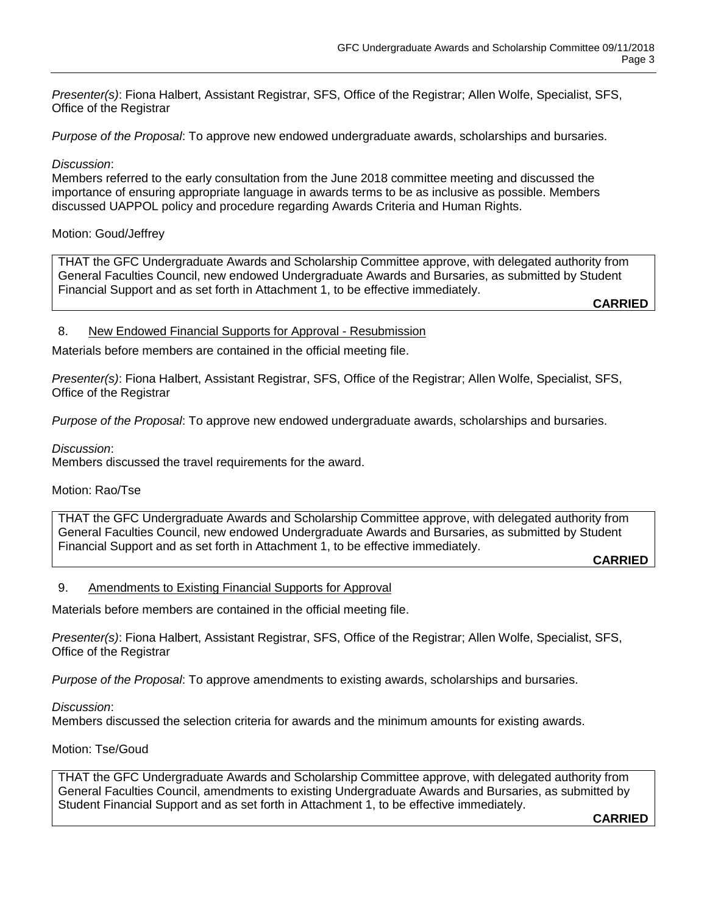*Presenter(s)*: Fiona Halbert, Assistant Registrar, SFS, Office of the Registrar; Allen Wolfe, Specialist, SFS, Office of the Registrar

*Purpose of the Proposal*: To approve new endowed undergraduate awards, scholarships and bursaries.

#### *Discussion*:

Members referred to the early consultation from the June 2018 committee meeting and discussed the importance of ensuring appropriate language in awards terms to be as inclusive as possible. Members discussed UAPPOL policy and procedure regarding Awards Criteria and Human Rights.

#### Motion: Goud/Jeffrey

THAT the GFC Undergraduate Awards and Scholarship Committee approve, with delegated authority from General Faculties Council, new endowed Undergraduate Awards and Bursaries, as submitted by Student Financial Support and as set forth in Attachment 1, to be effective immediately.

**CARRIED**

#### 8. New Endowed Financial Supports for Approval - Resubmission

Materials before members are contained in the official meeting file.

*Presenter(s)*: Fiona Halbert, Assistant Registrar, SFS, Office of the Registrar; Allen Wolfe, Specialist, SFS, Office of the Registrar

*Purpose of the Proposal*: To approve new endowed undergraduate awards, scholarships and bursaries.

*Discussion*:

Members discussed the travel requirements for the award.

#### Motion: Rao/Tse

THAT the GFC Undergraduate Awards and Scholarship Committee approve, with delegated authority from General Faculties Council, new endowed Undergraduate Awards and Bursaries, as submitted by Student Financial Support and as set forth in Attachment 1, to be effective immediately.

**CARRIED**

#### 9. Amendments to Existing Financial Supports for Approval

Materials before members are contained in the official meeting file.

*Presenter(s)*: Fiona Halbert, Assistant Registrar, SFS, Office of the Registrar; Allen Wolfe, Specialist, SFS, Office of the Registrar

*Purpose of the Proposal*: To approve amendments to existing awards, scholarships and bursaries.

#### *Discussion*:

Members discussed the selection criteria for awards and the minimum amounts for existing awards.

#### Motion: Tse/Goud

THAT the GFC Undergraduate Awards and Scholarship Committee approve, with delegated authority from General Faculties Council, amendments to existing Undergraduate Awards and Bursaries, as submitted by Student Financial Support and as set forth in Attachment 1, to be effective immediately.

**CARRIED**